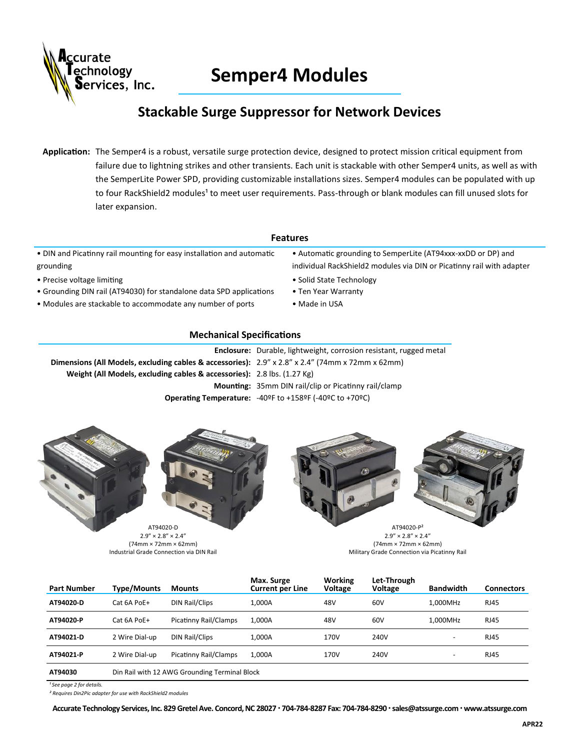

# **Semper4 Modules**

## **Stackable Surge Suppressor for Network Devices**

**Application:** The Semper4 is a robust, versatile surge protection device, designed to protect mission critical equipment from failure due to lightning strikes and other transients. Each unit is stackable with other Semper4 units, as well as with the SemperLite Power SPD, providing customizable installations sizes. Semper4 modules can be populated with up to four RackShield2 modules<sup>1</sup> to meet user requirements. Pass-through or blank modules can fill unused slots for later expansion.

#### **Features**

• DIN and Picatinny rail mounting for easy installation and automatic grounding

- Precise voltage limiting example and the solid State Technology of the Solid State Technology
- Grounding DIN rail (AT94030) for standalone data SPD applications Ten Year Warranty
- Modules are stackable to accommodate any number of ports Made in USA
- Automatic grounding to SemperLite (AT94xxx-xxDD or DP) and individual RackShield2 modules via DIN or Picatinny rail with adapter
- 
- -

#### **Mechanical Specifications**

|                                                                                                                            | <b>Enclosure:</b> Durable, lightweight, corrosion resistant, rugged metal                               |
|----------------------------------------------------------------------------------------------------------------------------|---------------------------------------------------------------------------------------------------------|
| <b>Dimensions (All Models, excluding cables &amp; accessories):</b> $2.9'' \times 2.8'' \times 2.4''$ (74mm x 72mm x 62mm) |                                                                                                         |
| Weight (All Models, excluding cables & accessories): 2.8 lbs. (1.27 Kg)                                                    |                                                                                                         |
|                                                                                                                            | <b>Mounting:</b> 35mm DIN rail/clip or Picatinny rail/clamp                                             |
|                                                                                                                            | <b>Operating Temperature:</b> $-40^{\circ}$ F to $+158^{\circ}$ F ( $-40^{\circ}$ C to $+70^{\circ}$ C) |



(74mm × 72mm × 62mm) Industrial Grade Connection via DIN Rail



 $2.9'' \times 2.8'' \times 2.4''$ (74mm × 72mm × 62mm) Military Grade Connection via Picatinny Rail

| <b>Part Number</b> | Type/Mounts                                   | <b>Mounts</b>         | Max. Surge<br><b>Current per Line</b> | <b>Working</b><br><b>Voltage</b> | Let-Through<br>Voltage | <b>Bandwidth</b>         | <b>Connectors</b> |
|--------------------|-----------------------------------------------|-----------------------|---------------------------------------|----------------------------------|------------------------|--------------------------|-------------------|
| AT94020-D          | Cat 6A PoE+                                   | DIN Rail/Clips        | 1.000A                                | 48V                              | 60V                    | 1.000MHz                 | <b>RJ45</b>       |
| AT94020-P          | Cat 6A PoE+                                   | Picatinny Rail/Clamps | 1,000A                                | 48V                              | 60V                    | 1.000MHz                 | <b>RJ45</b>       |
| AT94021-D          | 2 Wire Dial-up                                | DIN Rail/Clips        | 1,000A                                | 170V                             | 240V                   | -                        | <b>RJ45</b>       |
| AT94021-P          | 2 Wire Dial-up                                | Picatinny Rail/Clamps | 1,000A                                | 170V                             | 240V                   | $\overline{\phantom{a}}$ | <b>RJ45</b>       |
| AT94030            | Din Rail with 12 AWG Grounding Terminal Block |                       |                                       |                                  |                        |                          |                   |

*¹ See page 2 for details.* 

*² Requires Din2Pic adapter for use with RackShield2 modules* 

Accurate Technology Services, Inc. 829 Gretel Ave. Concord, NC 28027 · 704-784-8287 Fax: 704-784-8290 · sales@atssurge.com · www.atssurge.com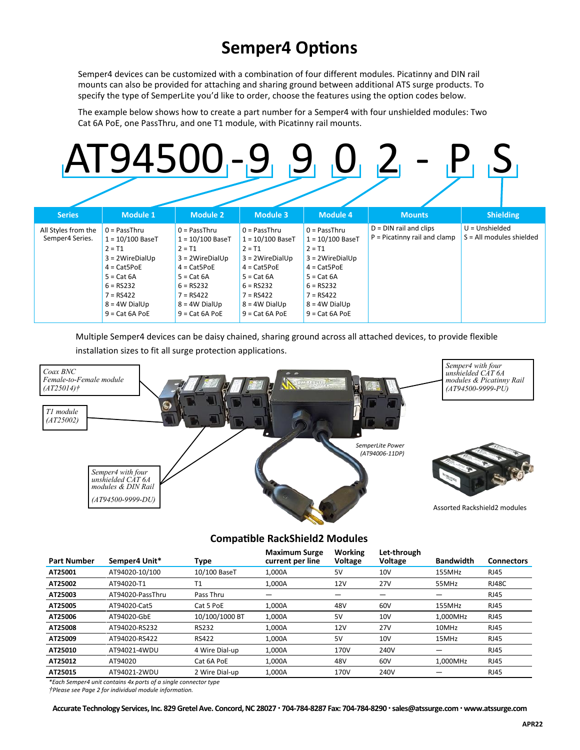# **Semper4 Options**

Semper4 devices can be customized with a combination of four different modules. Picatinny and DIN rail mounts can also be provided for attaching and sharing ground between additional ATS surge products. To specify the type of SemperLite you'd like to order, choose the features using the option codes below.

The example below shows how to create a part number for a Semper4 with four unshielded modules: Two Cat 6A PoE, one PassThru, and one T1 module, with Picatinny rail mounts.

# <u> 194500 -9 9 0 2 - P</u>

| <b>Series</b>                          | <b>Module 1</b>                                                                                                                                                                     | <b>Module 2</b>                                                                                                                                                                     | Module 3                                                                                                                                                                            | Module 4                                                                                                                                                                           | <b>Mounts</b>                                              | <b>Shielding</b>                               |
|----------------------------------------|-------------------------------------------------------------------------------------------------------------------------------------------------------------------------------------|-------------------------------------------------------------------------------------------------------------------------------------------------------------------------------------|-------------------------------------------------------------------------------------------------------------------------------------------------------------------------------------|------------------------------------------------------------------------------------------------------------------------------------------------------------------------------------|------------------------------------------------------------|------------------------------------------------|
| All Styles from the<br>Semper4 Series. | $0 = PassThru$<br>$1 = 10/100$ BaseT<br>$2 = T1$<br>$3 = 2WriteDialUp$<br>$4 = \text{CatSPoE}$<br>$5 = Cat 6A$<br>$6 = RS232$<br>$7 = RS422$<br>$8 = 4W$ DialUp<br>$9 = Cat 6A POE$ | $0 =$ PassThru<br>$1 = 10/100$ BaseT<br>$2 = T1$<br>$3 = 2WriteDialUp$<br>$4 = \text{CatSPoE}$<br>$5 = Cat 6A$<br>$6 = RS232$<br>$7 = RS422$<br>$8 = 4W$ DialUp<br>$9 = Cat 6A PoE$ | $0 =$ PassThru<br>$1 = 10/100$ BaseT<br>$2 = T1$<br>$3 = 2WriteDialUp$<br>$4 = \text{CatSPoE}$<br>$5 = Cat 6A$<br>$6 = RS232$<br>$7 = RS422$<br>$8 = 4W$ DialUp<br>$9 = Cat 6A POE$ | $0 = PassThru$<br>$1 = 10/100$ BaseT<br>$2 = T1$<br>$3 = 2WireDialUp$<br>$4 = \text{CatSPoE}$<br>$5 = Cat 6A$<br>$6 = RS232$<br>$7 = RS422$<br>$8 = 4W$ DialUp<br>$9 = Cat 6A POE$ | $D = DIN$ rail and clips<br>$P = Picatinny$ rail and clamp | $U = Unshielded$<br>$S = All$ modules shielded |

Multiple Semper4 devices can be daisy chained, sharing ground across all attached devices, to provide flexible installation sizes to fit all surge protection applications.



### **Compatible RackShield2 Modules**

| <b>Part Number</b> | Semper4 Unit*    | Type           | <b>Maximum Surge</b><br>current per line | Working<br><b>Voltage</b> | Let-through<br>Voltage | <b>Bandwidth</b> | <b>Connectors</b> |
|--------------------|------------------|----------------|------------------------------------------|---------------------------|------------------------|------------------|-------------------|
| AT25001            | AT94020-10/100   | 10/100 BaseT   | 1.000A                                   | 5V                        | 10V                    | 155MHz           | <b>RJ45</b>       |
| AT25002            | AT94020-T1       | T <sub>1</sub> | 1.000A                                   | 12V                       | <b>27V</b>             | 55MHz            | <b>RJ48C</b>      |
| AT25003            | AT94020-PassThru | Pass Thru      |                                          |                           |                        |                  | <b>RJ45</b>       |
| AT25005            | AT94020-Cat5     | Cat 5 PoE      | 1.000A                                   | 48V                       | 60V                    | 155MHz           | <b>RJ45</b>       |
| AT25006            | AT94020-GbE      | 10/100/1000 BT | 1.000A                                   | 5V                        | 10 <sub>V</sub>        | 1.000MHz         | <b>RJ45</b>       |
| AT25008            | AT94020-RS232    | <b>RS232</b>   | 1.000A                                   | 12V                       | 27 <sub>V</sub>        | 10MHz            | <b>RJ45</b>       |
| AT25009            | AT94020-RS422    | <b>RS422</b>   | 1.000A                                   | 5V                        | 10V                    | 15MHz            | <b>RJ45</b>       |
| AT25010            | AT94021-4WDU     | 4 Wire Dial-up | 1.000A                                   | 170V                      | 240V                   |                  | <b>RJ45</b>       |
| AT25012            | AT94020          | Cat 6A PoE     | 1,000A                                   | 48V                       | 60V                    | 1,000MHz         | <b>RJ45</b>       |
| AT25015            | AT94021-2WDU     | 2 Wire Dial-up | 1,000A                                   | 170V                      | 240V                   |                  | <b>RJ45</b>       |

*\*Each Semper4 unit contains 4x ports of a single connector type*

*†Please see Page 2 for individual module information.*

Accurate Technology Services, Inc. 829 Gretel Ave. Concord, NC 28027 · 704-784-8287 Fax: 704-784-8290 · sales@atssurge.com · www.atssurge.com